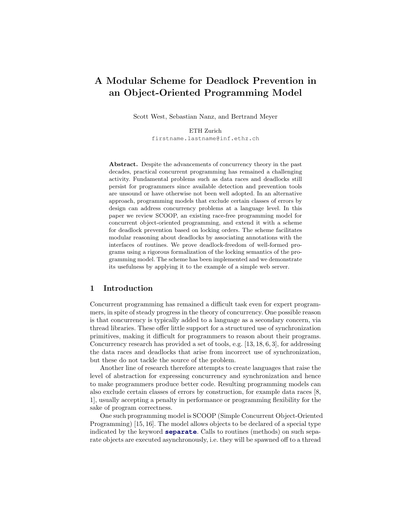# A Modular Scheme for Deadlock Prevention in an Object-Oriented Programming Model

Scott West, Sebastian Nanz, and Bertrand Meyer

ETH Zurich firstname.lastname@inf.ethz.ch

Abstract. Despite the advancements of concurrency theory in the past decades, practical concurrent programming has remained a challenging activity. Fundamental problems such as data races and deadlocks still persist for programmers since available detection and prevention tools are unsound or have otherwise not been well adopted. In an alternative approach, programming models that exclude certain classes of errors by design can address concurrency problems at a language level. In this paper we review SCOOP, an existing race-free programming model for concurrent object-oriented programming, and extend it with a scheme for deadlock prevention based on locking orders. The scheme facilitates modular reasoning about deadlocks by associating annotations with the interfaces of routines. We prove deadlock-freedom of well-formed programs using a rigorous formalization of the locking semantics of the programming model. The scheme has been implemented and we demonstrate its usefulness by applying it to the example of a simple web server.

## 1 Introduction

Concurrent programming has remained a difficult task even for expert programmers, in spite of steady progress in the theory of concurrency. One possible reason is that concurrency is typically added to a language as a secondary concern, via thread libraries. These offer little support for a structured use of synchronization primitives, making it difficult for programmers to reason about their programs. Concurrency research has provided a set of tools, e.g. [13, 18, 6, 3], for addressing the data races and deadlocks that arise from incorrect use of synchronization, but these do not tackle the source of the problem.

Another line of research therefore attempts to create languages that raise the level of abstraction for expressing concurrency and synchronization and hence to make programmers produce better code. Resulting programming models can also exclude certain classes of errors by construction, for example data races [8, 1], usually accepting a penalty in performance or programming flexibility for the sake of program correctness.

One such programming model is SCOOP (Simple Concurrent Object-Oriented Programming) [15, 16]. The model allows objects to be declared of a special type indicated by the keyword **separate**. Calls to routines (methods) on such separate objects are executed asynchronously, i.e. they will be spawned off to a thread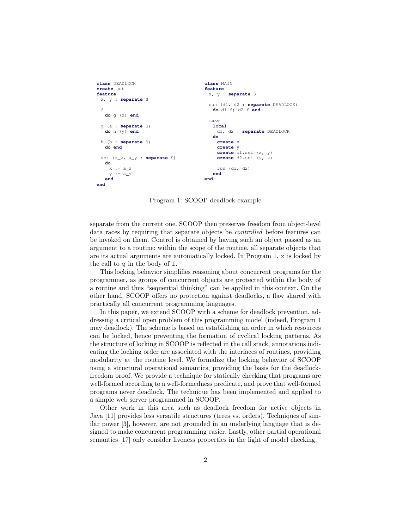```
class DEADLOCK
create set
feature
 x, y : separate S
 f
   do g (x) end
 g (a : separate S)
   do h (y) end
 h (b : separate S)
   do end
 set (a_x, a_y : separate S)
   do
    x : = a_Xy := a_yend
end
                                        class MAIN
                                        feature
                                          x, y : separate S
                                          run (d1, d2 : separate DEADLOCK)
                                           do d1.f; d2.f end
                                          make
                                           local
                                             d1, d2 : separate DEADLOCK
                                           do
                                             create x
                                             create y
                                             create d1.set (x, y)
                                             create d2.set (y, x)
                                             run (d1, d2)
                                            end
                                        end
```
Program 1: SCOOP deadlock example

separate from the current one. SCOOP then preserves freedom from object-level data races by requiring that separate objects be controlled before features can be invoked on them. Control is obtained by having such an object passed as an argument to a routine: within the scope of the routine, all separate objects that are its actual arguments are automatically locked. In Program 1, x is locked by the call to g in the body of f.

This locking behavior simplifies reasoning about concurrent programs for the programmer, as groups of concurrent objects are protected within the body of a routine and thus "sequential thinking" can be applied in this context. On the other hand, SCOOP offers no protection against deadlocks, a flaw shared with practically all concurrent programming languages.

In this paper, we extend SCOOP with a scheme for deadlock prevention, addressing a critical open problem of this programming model (indeed, Program 1 may deadlock). The scheme is based on establishing an order in which resources can be locked, hence preventing the formation of cyclical locking patterns. As the structure of locking in SCOOP is reflected in the call stack, annotations indicating the locking order are associated with the interfaces of routines, providing modularity at the routine level. We formalize the locking behavior of SCOOP using a structural operational semantics, providing the basis for the deadlockfreedom proof. We provide a technique for statically checking that programs are well-formed according to a well-formedness predicate, and prove that well-formed programs never deadlock. The technique has been implemented and applied to a simple web server programmed in SCOOP.

Other work in this area such as deadlock freedom for active objects in Java [11] provides less versatile structures (trees vs. orders). Techniques of similar power [3], however, are not grounded in an underlying language that is designed to make concurrent programming easier. Lastly, other partial operational semantics [17] only consider liveness properties in the light of model checking.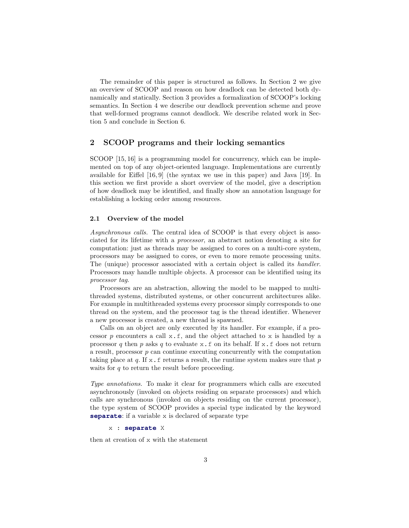The remainder of this paper is structured as follows. In Section 2 we give an overview of SCOOP and reason on how deadlock can be detected both dynamically and statically. Section 3 provides a formalization of SCOOP's locking semantics. In Section 4 we describe our deadlock prevention scheme and prove that well-formed programs cannot deadlock. We describe related work in Section 5 and conclude in Section 6.

# 2 SCOOP programs and their locking semantics

SCOOP [15, 16] is a programming model for concurrency, which can be implemented on top of any object-oriented language. Implementations are currently available for Eiffel [16, 9] (the syntax we use in this paper) and Java [19]. In this section we first provide a short overview of the model, give a description of how deadlock may be identified, and finally show an annotation language for establishing a locking order among resources.

#### 2.1 Overview of the model

Asynchronous calls. The central idea of SCOOP is that every object is associated for its lifetime with a processor, an abstract notion denoting a site for computation: just as threads may be assigned to cores on a multi-core system, processors may be assigned to cores, or even to more remote processing units. The (unique) processor associated with a certain object is called its handler. Processors may handle multiple objects. A processor can be identified using its processor tag.

Processors are an abstraction, allowing the model to be mapped to multithreaded systems, distributed systems, or other concurrent architectures alike. For example in multithreaded systems every processor simply corresponds to one thread on the system, and the processor tag is the thread identifier. Whenever a new processor is created, a new thread is spawned.

Calls on an object are only executed by its handler. For example, if a processor p encounters a call  $x \cdot f$ , and the object attached to x is handled by a processor q then p asks q to evaluate x.f on its behalf. If  $x \cdot f$  does not return a result, processor  $p$  can continue executing concurrently with the computation taking place at  $q$ . If  $x \cdot f$  returns a result, the runtime system makes sure that  $p$ waits for  $q$  to return the result before proceeding.

Type annotations. To make it clear for programmers which calls are executed asynchronously (invoked on objects residing on separate processors) and which calls are synchronous (invoked on objects residing on the current processor), the type system of SCOOP provides a special type indicated by the keyword **separate**: if a variable x is declared of separate type

x : **separate** X

then at creation of x with the statement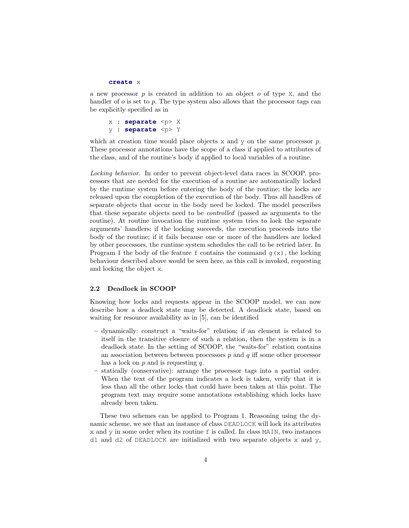#### **create** x

a new processor  $p$  is created in addition to an object  $o$  of type X, and the handler of  $o$  is set to  $p$ . The type system also allows that the processor tags can be explicitly specified as in

```
x : separate <p> X
y : separate <p> Y
```
which at creation time would place objects  $x$  and  $y$  on the same processor  $p$ . These processor annotations have the scope of a class if applied to attributes of the class, and of the routine's body if applied to local variables of a routine.

Locking behavior. In order to prevent object-level data races in SCOOP, processors that are needed for the execution of a routine are automatically locked by the runtime system before entering the body of the routine; the locks are released upon the completion of the execution of the body. Thus all handlers of separate objects that occur in the body need be locked. The model prescribes that these separate objects need to be controlled (passed as arguments to the routine). At routine invocation the runtime system tries to lock the separate arguments' handlers: if the locking succeeds, the execution proceeds into the body of the routine; if it fails because one or more of the handlers are locked by other processors, the runtime system schedules the call to be retried later. In Program 1 the body of the feature  $f$  contains the command  $g(x)$ , the locking behaviour described above would be seen here, as this call is invoked, requesting and locking the object x.

## 2.2 Deadlock in SCOOP

Knowing how locks and requests appear in the SCOOP model, we can now describe how a deadlock state may be detected. A deadlock state, based on waiting for resource availability as in [5], can be identified

- dynamically: construct a "waits-for" relation; if an element is related to itself in the transitive closure of such a relation, then the system is in a deadlock state. In the setting of SCOOP, the "waits-for" relation contains an association between between processors  $p$  and  $q$  iff some other processor has a lock on  $p$  and is requesting  $q$ .
- statically (conservative): arrange the processor tags into a partial order. When the text of the program indicates a lock is taken, verify that it is less than all the other locks that could have been taken at this point. The program text may require some annotations establishing which locks have already been taken.

These two schemes can be applied to Program 1. Reasoning using the dynamic scheme, we see that an instance of class DEADLOCK will lock its attributes x and y in some order when its routine f is called. In class MAIN, two instances d1 and d2 of DEADLOCK are initialized with two separate objects  $x$  and  $y$ ,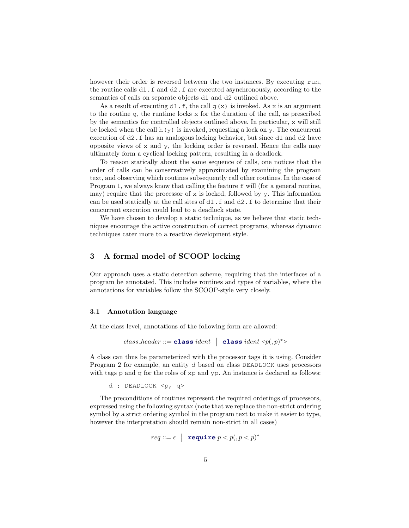however their order is reversed between the two instances. By executing run, the routine calls  $d1.f$  and  $d2.f$  are executed asynchronously, according to the semantics of calls on separate objects d1 and d2 outlined above.

As a result of executing  $d1. f$ , the call  $g(x)$  is invoked. As x is an argument to the routine g, the runtime locks x for the duration of the call, as prescribed by the semantics for controlled objects outlined above. In particular, x will still be locked when the call h(y) is invoked, requesting a lock on y. The concurrent execution of d2.f has an analogous locking behavior, but since d1 and d2 have opposite views of  $x$  and  $y$ , the locking order is reversed. Hence the calls may ultimately form a cyclical locking pattern, resulting in a deadlock.

To reason statically about the same sequence of calls, one notices that the order of calls can be conservatively approximated by examining the program text, and observing which routines subsequently call other routines. In the case of Program 1, we always know that calling the feature f will (for a general routine, may) require that the processor of  $x$  is locked, followed by  $y$ . This information can be used statically at the call sites of d1.f and d2.f to determine that their concurrent execution could lead to a deadlock state.

We have chosen to develop a static technique, as we believe that static techniques encourage the active construction of correct programs, whereas dynamic techniques cater more to a reactive development style.

## 3 A formal model of SCOOP locking

Our approach uses a static detection scheme, requiring that the interfaces of a program be annotated. This includes routines and types of variables, where the annotations for variables follow the SCOOP-style very closely.

#### 3.1 Annotation language

At the class level, annotations of the following form are allowed:

```
class\_header ::= \texttt{class}~ident \mid \texttt{class}~ident \leq p(,p)^*>
```
A class can thus be parameterized with the processor tags it is using. Consider Program 2 for example, an entity d based on class DEADLOCK uses processors with tags p and q for the roles of xp and yp. An instance is declared as follows:

d : DEADLOCK <p, q>

The preconditions of routines represent the required orderings of processors, expressed using the following syntax (note that we replace the non-strict ordering symbol by a strict ordering symbol in the program text to make it easier to type, however the interpretation should remain non-strict in all cases)

$$
req ::= \epsilon \mid \text{require } p < p, p < p)^*
$$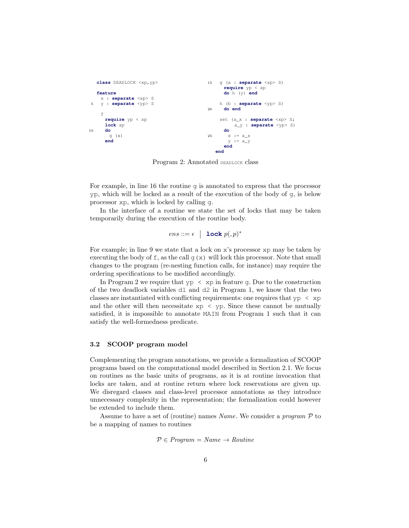```
class DEADLOCK <xp,yp>
  feature
    x : separate <xp> S
    5 y : separate <yp> S
    f
      require yp < xp
      lock xp
10 do
      g (x)
      end
                                                 15 g (a : separate <xp> S)
                                                   require yp < xp
                                                   do h (y) end
                                                  h (b : separate <yp> S)
                                                   20 do end
                                                  set (a_x : separate <xp> S;
                                                      a<sub>_y</sub> : separate <yp> S)
                                                   do
                                             25 x := a_Xy := a_yend
                                                end
```
Program 2: Annotated DEADLOCK class

For example, in line 16 the routine g is annotated to express that the processor yp, which will be locked as a result of the execution of the body of g, is below processor xp, which is locked by calling g.

In the interface of a routine we state the set of locks that may be taken temporarily during the execution of the routine body.

 $ens ::= \epsilon \mid \textbf{lock } p(,p)^*$ 

For example; in line 9 we state that a lock on x's processor xp may be taken by executing the body of f, as the call  $g(x)$  will lock this processor. Note that small changes to the program (re-nesting function calls, for instance) may require the ordering specifications to be modified accordingly.

In Program 2 we require that  $yp \leq xp$  in feature q. Due to the construction of the two deadlock variables d1 and d2 in Program 1, we know that the two classes are instantiated with conflicting requirements: one requires that  $yp < xp$ and the other will then necessitate  $xp \le yp$ . Since these cannot be mutually satisfied, it is impossible to annotate MAIN from Program 1 such that it can satisfy the well-formedness predicate.

## 3.2 SCOOP program model

Complementing the program annotations, we provide a formalization of SCOOP programs based on the computational model described in Section 2.1. We focus on routines as the basic units of programs, as it is at routine invocation that locks are taken, and at routine return where lock reservations are given up. We disregard classes and class-level processor annotations as they introduce unnecessary complexity in the representation; the formalization could however be extended to include them.

Assume to have a set of (routine) names Name. We consider a program  $P$  to be a mapping of names to routines

$$
P \in Program = Name \rightarrow Routine
$$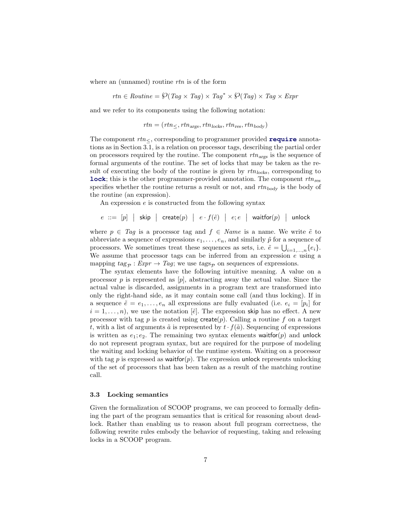where an (unnamed) routine  $rtn$  is of the form

$$
rtn \in Routine = \mathcal{P}(Tag \times Tag) \times Tag^* \times \mathcal{P}(Tag) \times Tag \times Expr
$$

and we refer to its components using the following notation:

$$
rtn = (rtn_{\leq}, rtn_{args}, rtn_{locks}, rtn_{res}, rtn_{body})
$$

The component rtn≤, corresponding to programmer provided **require** annotations as in Section 3.1, is a relation on processor tags, describing the partial order on processors required by the routine. The component  $rtn_{args}$  is the sequence of formal arguments of the routine. The set of locks that may be taken as the result of executing the body of the routine is given by  $rtn_{locks}$ , corresponding to **lock**; this is the other programmer-provided annotation. The component  $rtn_{res}$ specifies whether the routine returns a result or not, and  $rtn_{body}$  is the body of the routine (an expression).

An expression e is constructed from the following syntax

$$
e ::= [p] | \text{skip} | \text{create}(p) | e \cdot f(\tilde{e}) | e; e | \text{waitfor}(p) | \text{unlock}
$$

where  $p \in Tag$  is a processor tag and  $f \in Name$  is a name. We write  $\tilde{e}$  to abbreviate a sequence of expressions  $e_1, \ldots, e_n$ , and similarly  $\tilde{p}$  for a sequence of processors. We sometimes treat these sequences as sets, i.e.  $\tilde{e} = \bigcup_{i=1,\dots,n} \{e_i\}.$ We assume that processor tags can be inferred from an expression  $e$  using a mapping  $tag_{\mathcal{P}} : Expr \to Tag$ ; we use  $tag_{\mathcal{P}}$  on sequences of expressions.

The syntax elements have the following intuitive meaning. A value on a processor p is represented as  $[p]$ , abstracting away the actual value. Since the actual value is discarded, assignments in a program text are transformed into only the right-hand side, as it may contain some call (and thus locking). If in a sequence  $\tilde{e} = e_1, \ldots, e_n$  all expressions are fully evaluated (i.e.  $e_i = [p_i]$  for  $i = 1, \ldots, n$ , we use the notation  $[\tilde{e}]$ . The expression skip has no effect. A new processor with tag p is created using create(p). Calling a routine f on a target t, with a list of arguments  $\tilde{a}$  is represented by  $t \cdot f(\tilde{a})$ . Sequencing of expressions is written as  $e_1; e_2$ . The remaining two syntax elements waitfor(p) and unlock do not represent program syntax, but are required for the purpose of modeling the waiting and locking behavior of the runtime system. Waiting on a processor with tag p is expressed as waitfor(p). The expression unlock represents unlocking of the set of processors that has been taken as a result of the matching routine call.

#### 3.3 Locking semantics

Given the formalization of SCOOP programs, we can proceed to formally defining the part of the program semantics that is critical for reasoning about deadlock. Rather than enabling us to reason about full program correctness, the following rewrite rules embody the behavior of requesting, taking and releasing locks in a SCOOP program.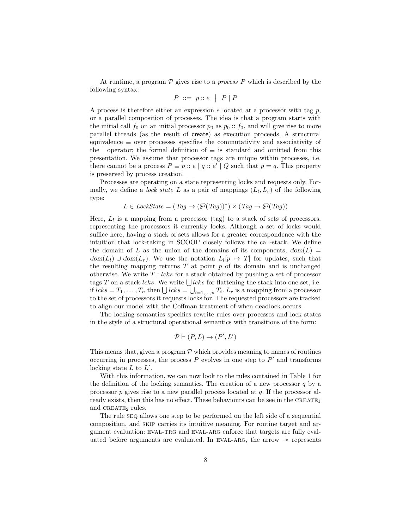At runtime, a program  $P$  gives rise to a *process*  $P$  which is described by the following syntax:

$$
P \ ::= \ p :: e \ | \ P \ | \ P
$$

A process is therefore either an expression e located at a processor with tag  $p$ , or a parallel composition of processes. The idea is that a program starts with the initial call  $f_0$  on an initial processor  $p_0$  as  $p_0$ :  $f_0$ , and will give rise to more parallel threads (as the result of create) as execution proceeds. A structural equivalence  $\equiv$  over processes specifies the commutativity and associativity of the | operator; the formal definition of  $\equiv$  is standard and omitted from this presentation. We assume that processor tags are unique within processes, i.e. there cannot be a process  $P \equiv p :: e | q :: e' | Q$  such that  $p = q$ . This property is preserved by process creation.

Processes are operating on a state representing locks and requests only. Formally, we define a *lock state* L as a pair of mappings  $(L_l, L_r)$  of the following type:

$$
L \in LockState = (Tag \rightarrow (\mathcal{G}(Tag))^*) \times (Tag \rightarrow \mathcal{G}(Tag))
$$

Here,  $L_l$  is a mapping from a processor (tag) to a stack of sets of processors, representing the processors it currently locks. Although a set of locks would suffice here, having a stack of sets allows for a greater correspondence with the intuition that lock-taking in SCOOP closely follows the call-stack. We define the domain of L as the union of the domains of its components,  $dom(L)$  $dom(L_l) \cup dom(L_r)$ . We use the notation  $L_l[p \mapsto T]$  for updates, such that the resulting mapping returns  $T$  at point  $p$  of its domain and is unchanged otherwise. We write  $T: lcks$  for a stack obtained by pushing a set of processor tags T on a stack lcks. We write  $\bigcup$  lcks for flattening the stack into one set, i.e. if  $lcks = T_1, \ldots, T_n$  then  $\bigcup lcks = \bigcup_{i=1,\ldots,n} T_i$ .  $L_r$  is a mapping from a processor to the set of processors it requests locks for. The requested processors are tracked to align our model with the Coffman treatment of when deadlock occurs.

The locking semantics specifies rewrite rules over processes and lock states in the style of a structural operational semantics with transitions of the form:

$$
\mathcal{P} \vdash (P, L) \to (P', L')
$$

This means that, given a program  $P$  which provides meaning to names of routines occurring in processes, the process  $P$  evolves in one step to  $P'$  and transforms locking state  $L$  to  $L'$ .

With this information, we can now look to the rules contained in Table 1 for the definition of the locking semantics. The creation of a new processor  $q$  by a processor p gives rise to a new parallel process located at  $q$ . If the processor already exists, then this has no effect. These behaviours can be see in the  $CREATE<sub>1</sub>$ and CREATE<sub>2</sub> rules.

The rule seq allows one step to be performed on the left side of a sequential composition, and skip carries its intuitive meaning. For routine target and argument evaluation: EVAL-TRG and EVAL-ARG enforce that targets are fully evaluated before arguments are evaluated. In EVAL-ARG, the arrow  $\rightarrow$  represents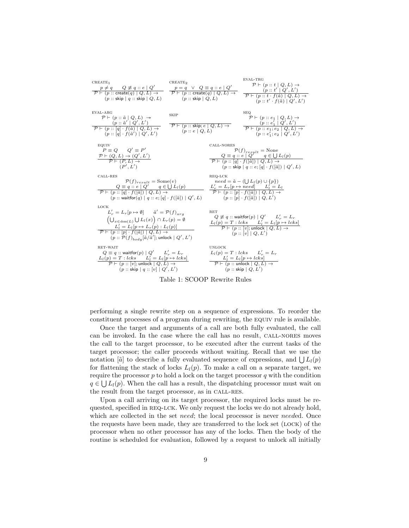

Table 1: SCOOP Rewrite Rules

performing a single rewrite step on a sequence of expressions. To reorder the constituent processes of a program during rewriting, the equiv rule is available.

Once the target and arguments of a call are both fully evaluated, the call can be invoked. In the case where the call has no result, call-nores moves the call to the target processor, to be executed after the current tasks of the target processor; the caller proceeds without waiting. Recall that we use the notation [ $\tilde{a}$ ] to describe a fully evaluated sequence of expressions, and  $\bigcup L_l(p)$ for flattening the stack of locks  $L_l(p)$ . To make a call on a separate target, we require the processor  $p$  to hold a lock on the target processor  $q$  with the condition  $q \in \bigcup L_l(p)$ . When the call has a result, the dispatching processor must wait on the result from the target processor, as in call-res.

Upon a call arriving on its target processor, the required locks must be requested, specified in REQ-LCK. We only request the locks we do not already hold, which are collected in the set *need*; the local processor is never *needed*. Once the requests have been made, they are transferred to the lock set (LOCK) of the processor when no other processor has any of the locks. Then the body of the routine is scheduled for evaluation, followed by a request to unlock all initially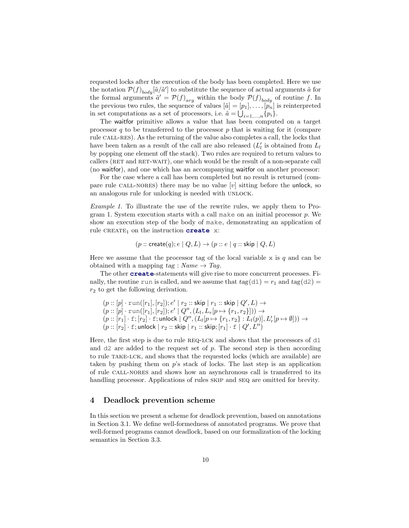requested locks after the execution of the body has been completed. Here we use the notation  $\mathcal{P}(f)_{body}[\tilde{a}/\tilde{a}']$  to substitute the sequence of actual arguments  $\tilde{a}$  for the formal arguments  $\tilde{a}' = \mathcal{P}(f)_{arg}$  within the body  $\mathcal{P}(f)_{body}$  of routine f. In the previous two rules, the sequence of values  $[\tilde{a}] = [p_1], \ldots, [p_n]$  is reinterpreted in set computations as a set of processors, i.e.  $\tilde{a} = \bigcup_{i=1,\dots,n} \{p_i\}.$ 

The waitfor primitive allows a value that has been computed on a target processor q to be transferred to the processor  $p$  that is waiting for it (compare rule call-res). As the returning of the value also completes a call, the locks that have been taken as a result of the call are also released  $(L'_{l})$  is obtained from  $L_{l}$ by popping one element off the stack). Two rules are required to return values to callers (RET and RET-WAIT), one which would be the result of a non-separate call (no waitfor), and one which has an accompanying waitfor on another processor:

For the case where a call has been completed but no result is returned (compare rule CALL-NORES) there may be no value  $[v]$  sitting before the unlock, so an analogous rule for unlocking is needed with UNLOCK.

Example 1. To illustrate the use of the rewrite rules, we apply them to Program 1. System execution starts with a call make on an initial processor  $p$ . We show an execution step of the body of make, demonstrating an application of rule CREATE<sub>1</sub> on the instruction **create** x:

$$
(p::\text{create}(q);e\mid Q,L)\rightarrow (p::e\mid q::\text{skip}\mid Q,L)
$$

Here we assume that the processor tag of the local variable  $x$  is q and can be obtained with a mapping tag : Name  $\rightarrow$  Tag.

The other **create**-statements will give rise to more concurrent processes. Finally, the routine run is called, and we assume that  $tag(d1) = r_1$  and  $tag(d2) =$  $r_2$  to get the following derivation.

$$
\begin{array}{l} (p::[p]\cdot\textnormal{run}([r_1],[r_2]);e' \mid r_2::\textnormal{skip}\mid r_1::\textnormal{skip}\mid Q',L)\rightarrow\\ (p::[p]\cdot\textnormal{run}([r_1],[r_2]);e'\mid Q'',(L_l,L_r[p\mapsto \{r_1,r_2\}]))\rightarrow\\ (p::[r_1]\cdot\textnormal{f};[r_2]\cdot\textnormal{f};\textnormal{unlock}\mid Q'',(L_l[p\mapsto \{r_1,r_2\}:\,L_l(p)],L_r'[p\mapsto \emptyset]))\rightarrow\\ (p::[r_2]\cdot\textnormal{f};\textnormal{unlock}\mid r_2::\textnormal{skip}\mid r_1::\textnormal{skip};[r_1]\cdot\textnormal{f}\mid Q',L'')\end{array}
$$

Here, the first step is due to rule REQ-LCK and shows that the processors of d1 and  $d^2$  are added to the request set of p. The second step is then according to rule take-lck, and shows that the requested locks (which are available) are taken by pushing them on p's stack of locks. The last step is an application of rule call-nores and shows how an asynchronous call is transferred to its handling processor. Applications of rules SKIP and SEQ are omitted for brevity.

## 4 Deadlock prevention scheme

In this section we present a scheme for deadlock prevention, based on annotations in Section 3.1. We define well-formedness of annotated programs. We prove that well-formed programs cannot deadlock, based on our formalization of the locking semantics in Section 3.3.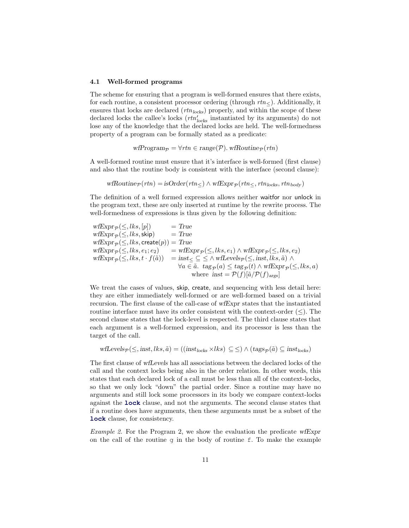#### 4.1 Well-formed programs

The scheme for ensuring that a program is well-formed ensures that there exists, for each routine, a consistent processor ordering (through  $rtn<sub>≤</sub>$ ). Additionally, it ensures that locks are declared  $(rtn<sub>locks</sub>)$  properly, and within the scope of these declared locks the callee's locks  $(rtn'_{locks}$  instantiated by its arguments) do not lose any of the knowledge that the declared locks are held. The well-formedness property of a program can be formally stated as a predicate:

$$
wfProgram_{\mathcal{P}} = \forall rtn \in range(\mathcal{P}). wfRoundine_{\mathcal{P}}(rtn)
$$

A well-formed routine must ensure that it's interface is well-formed (first clause) and also that the routine body is consistent with the interface (second clause):

wfRoutine $p (rtn) = isOrder(rtn_{\leq}) \wedge wfExpr_{\mathcal{P}}(rtn_{\leq}, rtn_{\text{locks}}, rtn_{\text{body}})$ 

The definition of a well formed expression allows neither waitfor nor unlock in the program text, these are only inserted at runtime by the rewrite process. The well-formedness of expressions is thus given by the following definition:

$$
\begin{array}{lll}\n\text{wfExpr}_{\mathcal{P}}(\leq, lks, [p]) & = \text{True} \\
\text{wfExpr}_{\mathcal{P}}(\leq, lks, \text{skip}) & = \text{True} \\
\text{wfExpr}_{\mathcal{P}}(\leq, lks, \text{create}(p)) & = \text{True} \\
\text{wfExpr}_{\mathcal{P}}(\leq, lks, e_1; e_2) & = \text{wfExpr}_{\mathcal{P}}(\leq, lks, e_1) \land \text{wfExpr}_{\mathcal{P}}(\leq, lks, e_2) \\
\text{wfExpr}_{\mathcal{P}}(\leq, lks, t \cdot f(\tilde{a})) & = \text{inst}_{\leq} \subseteq \leq \land \text{wfLevels}_{\mathcal{P}}(\leq, \text{inst}, lks, \tilde{a}) \land \\
&\quad \forall a \in \tilde{a}. \quad \text{tag}_{\mathcal{P}}(a) \leq \text{tag}_{\mathcal{P}}(t) \land \text{wfExpr}_{\mathcal{P}}(\leq, lks, a) \\
&\quad \text{where} \quad \text{inst} = \mathcal{P}(f)[\tilde{a}/\mathcal{P}(f)_{\text{args}}]\n\end{array}
$$

We treat the cases of values, skip, create, and sequencing with less detail here: they are either immediately well-formed or are well-formed based on a trivial recursion. The first clause of the call-case of wfExpr states that the instantiated routine interface must have its order consistent with the context-order  $(\le)$ . The second clause states that the lock-level is respected. The third clause states that each argument is a well-formed expression, and its processor is less than the target of the call.

$$
\text{wfLevels}_{\mathcal{P}}(\leq, \text{inst}, \text{lks}, \tilde{a}) = ((\text{inst}_{\text{locks}} \times \text{lks}) \subseteq \leq) \land (\text{tags}_{\mathcal{P}}(\tilde{a}) \subseteq \text{inst}_{\text{locks}})
$$

The first clause of wfLevels has all associations between the declared locks of the call and the context locks being also in the order relation. In other words, this states that each declared lock of a call must be less than all of the context-locks, so that we only lock "down" the partial order. Since a routine may have no arguments and still lock some processors in its body we compare context-locks against the **lock** clause, and not the arguments. The second clause states that if a routine does have arguments, then these arguments must be a subset of the **lock** clause, for consistency.

Example 2. For the Program 2, we show the evaluation the predicate wfExpr on the call of the routine g in the body of routine f. To make the example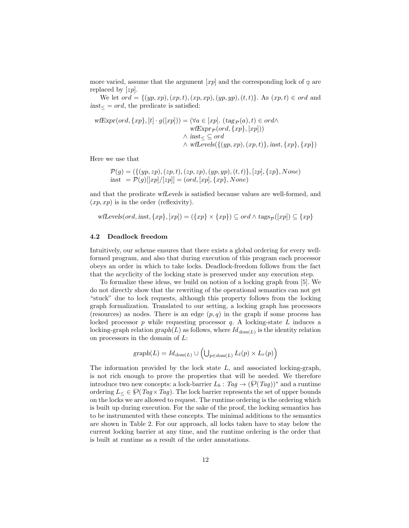more varied, assume that the argument  $\vert xp \vert$  and the corresponding lock of g are replaced by  $|zp|$ .

We let  $ord = \{(yp, xp), (xp, t), (xp, xp), (yp, yp), (t, t)\}.$  As  $(xp, t) \in ord$  and  $inst_{\leq} = ord$ , the predicate is satisfied:

$$
\begin{aligned} \text{wfExpr}(\text{ord}, \{xp\}, [t] \cdot g([xp])) &= (\forall a \in [xp]. \ (\text{tag}_p(a), t) \in \text{ord} \land \\ & \text{wfExpr}_p(\text{ord}, \{xp\}, [xp])) \\ &\land \ \text{inst}_{\leq} \subseteq \text{ord} \\ &\land \ \text{wfLevels}(\{(yp, xp), (xp, t)\}, \text{inst}, \{xp\}, \{xp\}) \end{aligned}
$$

Here we use that

$$
\mathcal{P}(g) = (\{(yp, zp), (zp, t), (zp, zp), (yp, yp), (t, t)\}, [zp], {zp}, None)
$$
  
inst =  $\mathcal{P}(g)[[xp]/[zp]] = (ord, [xp], {xp}, None)$ 

and that the predicate wfLevels is satisfied because values are well-formed, and  $(xp, xp)$  is in the order (reflexivity).

wfLevels(ord, inst,  $\{xp\}$ ,  $[xp] = (\{xp\} \times \{xp\}) \subseteq ord \wedge tags_{\mathcal{P}}([xp]) \subseteq \{xp\}$ 

#### 4.2 Deadlock freedom

Intuitively, our scheme ensures that there exists a global ordering for every wellformed program, and also that during execution of this program each processor obeys an order in which to take locks. Deadlock-freedom follows from the fact that the acyclicity of the locking state is preserved under any execution step.

To formalize these ideas, we build on notion of a locking graph from [5]. We do not directly show that the rewriting of the operational semantics can not get "stuck" due to lock requests, although this property follows from the locking graph formalization. Translated to our setting, a locking graph has processors (resources) as nodes. There is an edge  $(p, q)$  in the graph if some process has locked processor  $p$  while requesting processor  $q$ . A locking-state  $L$  induces a locking-graph relation  $graph(L)$  as follows, where  $Id_{dom(L)}$  is the identity relation on processors in the domain of L:

$$
graph(L) = Id_{dom(L)} \cup \left( \bigcup_{p \in dom(L)} L_l(p) \times L_r(p) \right)
$$

The information provided by the lock state  $L$ , and associated locking-graph, is not rich enough to prove the properties that will be needed. We therefore introduce two new concepts: a lock-barrier  $L_b : Tag \rightarrow (\mathcal{O}(Tag))^*$  and a runtime ordering  $L \leq \mathcal{P}(Tag \times Tag)$ . The lock barrier represents the set of upper bounds on the locks we are allowed to request. The runtime ordering is the ordering which is built up during execution. For the sake of the proof, the locking semantics has to be instrumented with these concepts. The minimal additions to the semantics are shown in Table 2. For our approach, all locks taken have to stay below the current locking barrier at any time, and the runtime ordering is the order that is built at runtime as a result of the order annotations.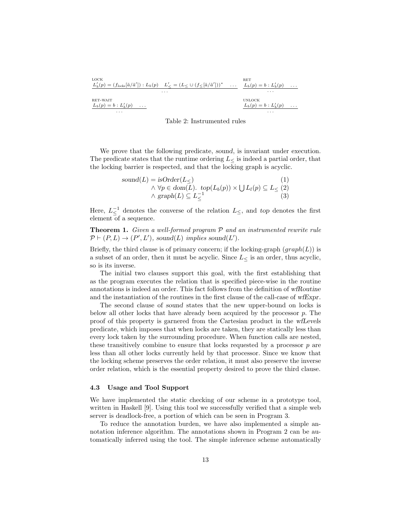| LOCK<br>$L'_b(p) = (f_{\text{locks}}[\tilde{a}/\tilde{a}']) : L_b(p)$ $L'_\leq (L_\leq \cup (f_\leq[\tilde{a}/\tilde{a}']))^*$ |  | $\sim 100$ km s $^{-1}$ | <b>RET</b><br>$L_b(p) = b : L'_b(p)$ | $\sim$ $\sim$ $\sim$ |
|--------------------------------------------------------------------------------------------------------------------------------|--|-------------------------|--------------------------------------|----------------------|
| .                                                                                                                              |  |                         | .                                    |                      |
| RET-WAIT                                                                                                                       |  |                         | <b>UNLOCK</b>                        |                      |
| $L_b(p) = b : L'_b(p)$<br>$\sim$ $\sim$ $\sim$                                                                                 |  |                         | $L_b(p) = b : L'_b(p)$               | $\sim$ $\sim$ $\sim$ |
| .                                                                                                                              |  |                         | .                                    |                      |



We prove that the following predicate, sound, is invariant under execution. The predicate states that the runtime ordering  $L<$  is indeed a partial order, that the locking barrier is respected, and that the locking graph is acyclic.

$$
sound(L) = isOrder(L_{\le})
$$
  
\n
$$
\land \forall p \in dom(L). \, top(L_b(p)) \times \bigcup L_l(p) \subseteq L_{\le}(2)
$$
  
\n
$$
\land \, graph(L) \subseteq L_{\le}^{-1}
$$
 (3)

Here,  $L_{\leq}^{-1}$  denotes the converse of the relation  $L_{\leq}$ , and top denotes the first element  $\bar{0}$ f a sequence.

Theorem 1. Given a well-formed program P and an instrumented rewrite rule  $\mathcal{P} \vdash (P, L) \rightarrow (P', L'), \text{ sound}(L) \text{ implies sound}(L').$ 

Briefly, the third clause is of primary concern; if the locking-graph  $(graph(L))$  is a subset of an order, then it must be acyclic. Since  $L<$  is an order, thus acyclic, so is its inverse.

The initial two clauses support this goal, with the first establishing that as the program executes the relation that is specified piece-wise in the routine annotations is indeed an order. This fact follows from the definition of wfRoutine and the instantiation of the routines in the first clause of the call-case of wfExpr.

The second clause of sound states that the new upper-bound on locks is below all other locks that have already been acquired by the processor  $p$ . The proof of this property is garnered from the Cartesian product in the wfLevels predicate, which imposes that when locks are taken, they are statically less than every lock taken by the surrounding procedure. When function calls are nested, these transitively combine to ensure that locks requested by a processor  $p$  are less than all other locks currently held by that processor. Since we know that the locking scheme preserves the order relation, it must also preserve the inverse order relation, which is the essential property desired to prove the third clause.

#### 4.3 Usage and Tool Support

We have implemented the static checking of our scheme in a prototype tool, written in Haskell [9]. Using this tool we successfully verified that a simple web server is deadlock-free, a portion of which can be seen in Program 3.

To reduce the annotation burden, we have also implemented a simple annotation inference algorithm. The annotations shown in Program 2 can be automatically inferred using the tool. The simple inference scheme automatically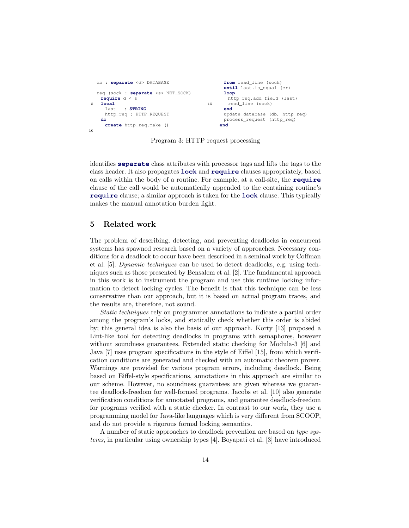```
db : separate <d> DATABASE
  req (sock : separate <s> NET_SOCK)
    require d < s
    5 local
      last : STRING
     http_req : HTTP_REQUEST
    do
     create http_req.make ()
10
                                                 from read_line (sock)
                                                 until last.is_equal (cr)
                                                 loop
                                                   http_req.add_field (last)
                                           15 read_line (sock)
                                                 end
                                                 update_database (db, http_req)
                                                 process_request (http_req)
                                                end
```
Program 3: HTTP request processing

identifies **separate** class attributes with processor tags and lifts the tags to the class header. It also propagates **lock** and **require** clauses appropriately, based on calls within the body of a routine. For example, at a call-site, the **require** clause of the call would be automatically appended to the containing routine's **require** clause; a similar approach is taken for the **lock** clause. This typically makes the manual annotation burden light.

## 5 Related work

The problem of describing, detecting, and preventing deadlocks in concurrent systems has spawned research based on a variety of approaches. Necessary conditions for a deadlock to occur have been described in a seminal work by Coffman et al. [5]. Dynamic techniques can be used to detect deadlocks, e.g. using techniques such as those presented by Bensalem et al. [2]. The fundamental approach in this work is to instrument the program and use this runtime locking information to detect locking cycles. The benefit is that this technique can be less conservative than our approach, but it is based on actual program traces, and the results are, therefore, not sound.

Static techniques rely on programmer annotations to indicate a partial order among the program's locks, and statically check whether this order is abided by; this general idea is also the basis of our approach. Korty [13] proposed a Lint-like tool for detecting deadlocks in programs with semaphores, however without soundness guarantees. Extended static checking for Modula-3 [6] and Java [7] uses program specifications in the style of Eiffel [15], from which verification conditions are generated and checked with an automatic theorem prover. Warnings are provided for various program errors, including deadlock. Being based on Eiffel-style specifications, annotations in this approach are similar to our scheme. However, no soundness guarantees are given whereas we guarantee deadlock-freedom for well-formed programs. Jacobs et al. [10] also generate verification conditions for annotated programs, and guarantee deadlock-freedom for programs verified with a static checker. In contrast to our work, they use a programming model for Java-like languages which is very different from SCOOP, and do not provide a rigorous formal locking semantics.

A number of static approaches to deadlock prevention are based on type systems, in particular using ownership types [4]. Boyapati et al. [3] have introduced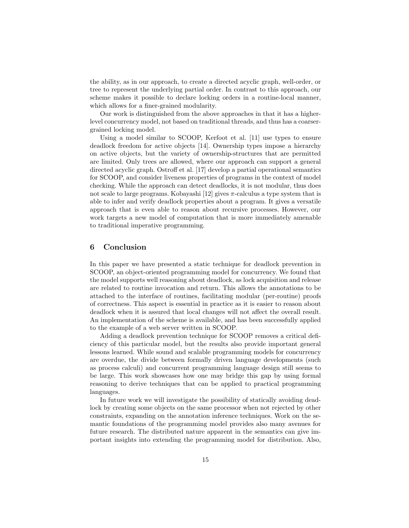the ability, as in our approach, to create a directed acyclic graph, well-order, or tree to represent the underlying partial order. In contrast to this approach, our scheme makes it possible to declare locking orders in a routine-local manner, which allows for a finer-grained modularity.

Our work is distinguished from the above approaches in that it has a higherlevel concurrency model, not based on traditional threads, and thus has a coarsergrained locking model.

Using a model similar to SCOOP, Kerfoot et al. [11] use types to ensure deadlock freedom for active objects [14]. Ownership types impose a hierarchy on active objects, but the variety of ownership-structures that are permitted are limited. Only trees are allowed, where our approach can support a general directed acyclic graph. Ostroff et al. [17] develop a partial operational semantics for SCOOP, and consider liveness properties of programs in the context of model checking. While the approach can detect deadlocks, it is not modular, thus does not scale to large programs. Kobayashi [12] gives  $\pi$ -calculus a type system that is able to infer and verify deadlock properties about a program. It gives a versatile approach that is even able to reason about recursive processes. However, our work targets a new model of computation that is more immediately amenable to traditional imperative programming.

## 6 Conclusion

In this paper we have presented a static technique for deadlock prevention in SCOOP, an object-oriented programming model for concurrency. We found that the model supports well reasoning about deadlock, as lock acquisition and release are related to routine invocation and return. This allows the annotations to be attached to the interface of routines, facilitating modular (per-routine) proofs of correctness. This aspect is essential in practice as it is easier to reason about deadlock when it is assured that local changes will not affect the overall result. An implementation of the scheme is available, and has been successfully applied to the example of a web server written in SCOOP.

Adding a deadlock prevention technique for SCOOP removes a critical deficiency of this particular model, but the results also provide important general lessons learned. While sound and scalable programming models for concurrency are overdue, the divide between formally driven language developments (such as process calculi) and concurrent programming language design still seems to be large. This work showcases how one may bridge this gap by using formal reasoning to derive techniques that can be applied to practical programming languages.

In future work we will investigate the possibility of statically avoiding deadlock by creating some objects on the same processor when not rejected by other constraints, expanding on the annotation inference techniques. Work on the semantic foundations of the programming model provides also many avenues for future research. The distributed nature apparent in the semantics can give important insights into extending the programming model for distribution. Also,